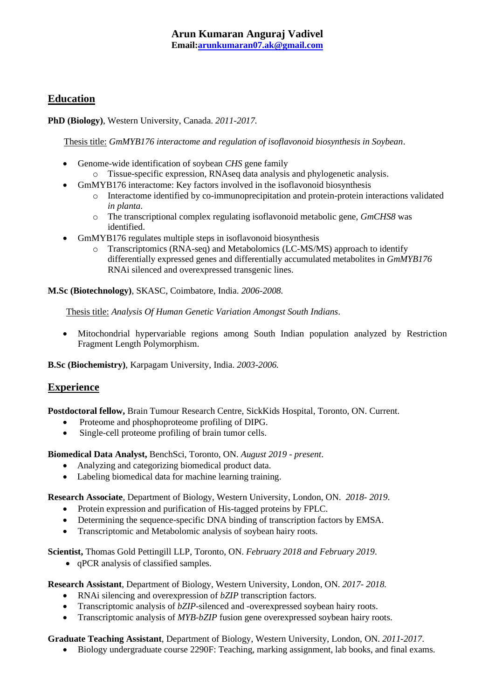## **Education**

**PhD (Biology)**, Western University, Canada. *2011-2017.*

Thesis title: *GmMYB176 interactome and regulation of isoflavonoid biosynthesis in Soybean*.

- Genome-wide identification of soybean *CHS* gene family
	- o Tissue-specific expression, RNAseq data analysis and phylogenetic analysis.
- GmMYB176 interactome: Key factors involved in the isoflavonoid biosynthesis
	- o Interactome identified by co-immunoprecipitation and protein-protein interactions validated *in planta*.
	- o The transcriptional complex regulating isoflavonoid metabolic gene, *GmCHS8* was identified.
- GmMYB176 regulates multiple steps in isoflavonoid biosynthesis
	- o Transcriptomics (RNA-seq) and Metabolomics (LC-MS/MS) approach to identify differentially expressed genes and differentially accumulated metabolites in *GmMYB176* RNAi silenced and overexpressed transgenic lines.

**M.Sc (Biotechnology)**, SKASC, Coimbatore, India. *2006-2008.*

Thesis title: *Analysis Of Human Genetic Variation Amongst South Indians*.

• Mitochondrial hypervariable regions among South Indian population analyzed by Restriction Fragment Length Polymorphism.

**B.Sc (Biochemistry)**, Karpagam University, India. *2003-2006.*

### **Experience**

**Postdoctoral fellow,** Brain Tumour Research Centre, SickKids Hospital, Toronto, ON. Current.

- Proteome and phosphoproteome profiling of DIPG.
- Single-cell proteome profiling of brain tumor cells.

**Biomedical Data Analyst,** BenchSci, Toronto, ON. *August 2019 - present*.

- Analyzing and categorizing biomedical product data.
- Labeling biomedical data for machine learning training.

**Research Associate**, Department of Biology, Western University, London, ON. *2018- 2019*.

- Protein expression and purification of His-tagged proteins by FPLC.
- Determining the sequence-specific DNA binding of transcription factors by EMSA.
- Transcriptomic and Metabolomic analysis of soybean hairy roots.

**Scientist,** Thomas Gold Pettingill LLP, Toronto, ON. *February 2018 and February 2019*.

• qPCR analysis of classified samples.

**Research Assistant**, Department of Biology, Western University, London, ON. *2017- 2018.*

- RNAi silencing and overexpression of *bZIP* transcription factors.
- Transcriptomic analysis of *bZIP*-silenced and -overexpressed soybean hairy roots.
- Transcriptomic analysis of *MYB-bZIP* fusion gene overexpressed soybean hairy roots.

**Graduate Teaching Assistant**, Department of Biology, Western University, London, ON. *2011-2017*.

• Biology undergraduate course 2290F: Teaching, marking assignment, lab books, and final exams.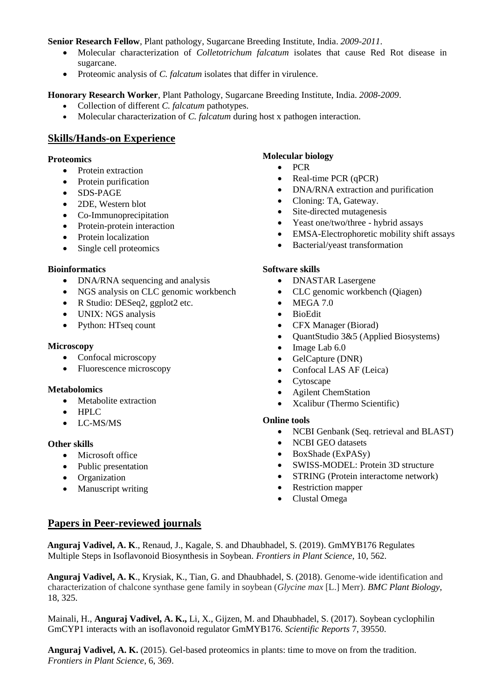**Senior Research Fellow**, Plant pathology, Sugarcane Breeding Institute, India. *2009-2011*.

- Molecular characterization of *Colletotrichum falcatum* isolates that cause Red Rot disease in sugarcane.
- Proteomic analysis of *C. falcatum* isolates that differ in virulence.

**Honorary Research Worker**, Plant Pathology, Sugarcane Breeding Institute, India. *2008-2009*.

- Collection of different *C. falcatum* pathotypes.
- Molecular characterization of *C. falcatum* during host x pathogen interaction.

### **Skills/Hands-on Experience**

### **Proteomics**

- Protein extraction
- Protein purification
- SDS-PAGE
- 2DE, Western blot
- Co-Immunoprecipitation
- Protein-protein interaction
- Protein localization
- Single cell proteomics

#### **Bioinformatics**

- DNA/RNA sequencing and analysis
- NGS analysis on CLC genomic workbench
- R Studio: DESeq2, ggplot2 etc.
- UNIX: NGS analysis
- Python: HTseq count

#### **Microscopy**

- Confocal microscopy
- Fluorescence microscopy

#### **Metabolomics**

- Metabolite extraction
- HPLC
- LC-MS/MS

#### **Other skills**

- Microsoft office
- Public presentation
- Organization
- Manuscript writing

### **Molecular biology**

- PCR
- Real-time PCR (qPCR)
- DNA/RNA extraction and purification
- Cloning: TA, Gateway.
- Site-directed mutagenesis
- Yeast one/two/three hybrid assays
- EMSA-Electrophoretic mobility shift assays
- Bacterial/yeast transformation

#### **Software skills**

- DNASTAR Lasergene
- CLC genomic workbench (Qiagen)
- MEGA 7.0
- BioEdit
- CFX Manager (Biorad)
- QuantStudio 3&5 (Applied Biosystems)
- Image Lab  $6.0$
- GelCapture (DNR)
- Confocal LAS AF (Leica)
- Cytoscape
- Agilent ChemStation
- Xcalibur (Thermo Scientific)

#### **Online tools**

- NCBI Genbank (Seq. retrieval and BLAST)
- NCBI GEO datasets
- BoxShade (ExPASy)
- SWISS-MODEL: Protein 3D structure
- STRING (Protein interactome network)
- Restriction mapper
- Clustal Omega

### **Papers in Peer-reviewed journals**

**Anguraj Vadivel, A. K**., Renaud, J., Kagale, S. and Dhaubhadel, S. (2019). GmMYB176 Regulates Multiple Steps in Isoflavonoid Biosynthesis in Soybean. *Frontiers in Plant Science*, 10, 562.

**Anguraj Vadivel, A. K**., Krysiak, K., Tian, G. and Dhaubhadel, S. (2018). Genome-wide identification and characterization of chalcone synthase gene family in soybean (*Glycine max* [L.] Merr). *BMC Plant Biology*, 18, 325.

Mainali, H., **Anguraj Vadivel, A. K.,** Li, X., Gijzen, M. and Dhaubhadel, S. (2017). Soybean cyclophilin GmCYP1 interacts with an isoflavonoid regulator GmMYB176. *Scientific Reports* 7, 39550.

**Anguraj Vadivel, A. K.** (2015). Gel-based proteomics in plants: time to move on from the tradition. *Frontiers in Plant Science*, 6, 369.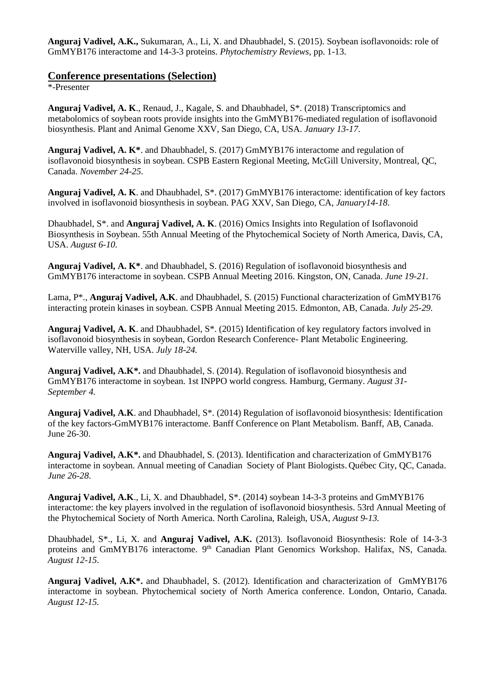**Anguraj Vadivel, A.K.,** Sukumaran, A., Li, X. and Dhaubhadel, S. (2015). Soybean isoflavonoids: role of GmMYB176 interactome and 14-3-3 proteins. *Phytochemistry Reviews*, pp. 1-13.

#### **Conference presentations (Selection)**

\*-Presenter

**Anguraj Vadivel, A. K**., Renaud, J., Kagale, S. and Dhaubhadel, S\*. (2018) Transcriptomics and metabolomics of soybean roots provide insights into the GmMYB176-mediated regulation of isoflavonoid biosynthesis. Plant and Animal Genome XXV, San Diego, CA, USA. *January 13-17*.

**Anguraj Vadivel, A. K\***. and Dhaubhadel, S. (2017) GmMYB176 interactome and regulation of isoflavonoid biosynthesis in soybean. CSPB Eastern Regional Meeting, McGill University, Montreal, QC, Canada. *November 24-25*.

**Anguraj Vadivel, A. K**. and Dhaubhadel, S\*. (2017) GmMYB176 interactome: identification of key factors involved in isoflavonoid biosynthesis in soybean. PAG XXV, San Diego, CA, *January14-18*.

Dhaubhadel, S\*. and **Anguraj Vadivel, A. K**. (2016) Omics Insights into Regulation of Isoflavonoid Biosynthesis in Soybean. 55th Annual Meeting of the Phytochemical Society of North America, Davis, CA, USA. *August 6-10.*

**Anguraj Vadivel, A. K\***. and Dhaubhadel, S. (2016) Regulation of isoflavonoid biosynthesis and GmMYB176 interactome in soybean. CSPB Annual Meeting 2016. Kingston, ON, Canada. *June 19-21*.

Lama, P\*., **Anguraj Vadivel, A.K**. and Dhaubhadel, S. (2015) Functional characterization of GmMYB176 interacting protein kinases in soybean. CSPB Annual Meeting 2015. Edmonton, AB, Canada. *July 25-29.*

**Anguraj Vadivel, A. K**. and Dhaubhadel, S\*. (2015) Identification of key regulatory factors involved in isoflavonoid biosynthesis in soybean, Gordon Research Conference- Plant Metabolic Engineering. Waterville valley, NH, USA. *July 18-24.*

**Anguraj Vadivel, A.K\*.** and Dhaubhadel, S. (2014). Regulation of isoflavonoid biosynthesis and GmMYB176 interactome in soybean. 1st INPPO world congress. Hamburg, Germany. *August 31- September 4.*

**Anguraj Vadivel, A.K**. and Dhaubhadel, S\*. (2014) Regulation of isoflavonoid biosynthesis: Identification of the key factors-GmMYB176 interactome. Banff Conference on Plant Metabolism. Banff, AB, Canada. June 26-30.

**Anguraj Vadivel, A.K\*.** and Dhaubhadel, S. (2013). Identification and characterization of GmMYB176 interactome in soybean. Annual meeting of Canadian Society of Plant Biologists. Québec City, QC, Canada. *June 26-28*.

**Anguraj Vadivel, A.K**., Li, X. and Dhaubhadel, S\*. (2014) soybean 14-3-3 proteins and GmMYB176 interactome: the key players involved in the regulation of isoflavonoid biosynthesis. 53rd Annual Meeting of the Phytochemical Society of North America. North Carolina, Raleigh, USA, *August 9-13.*

Dhaubhadel, S\*., Li, X. and **Anguraj Vadivel, A.K.** (2013). Isoflavonoid Biosynthesis: Role of 14-3-3 proteins and GmMYB176 interactome. 9<sup>th</sup> Canadian Plant Genomics Workshop. Halifax, NS, Canada. *August 12-15*.

**Anguraj Vadivel, A.K\*.** and Dhaubhadel, S. (2012). Identification and characterization of GmMYB176 interactome in soybean. Phytochemical society of North America conference. London, Ontario, Canada. *August 12-15.*